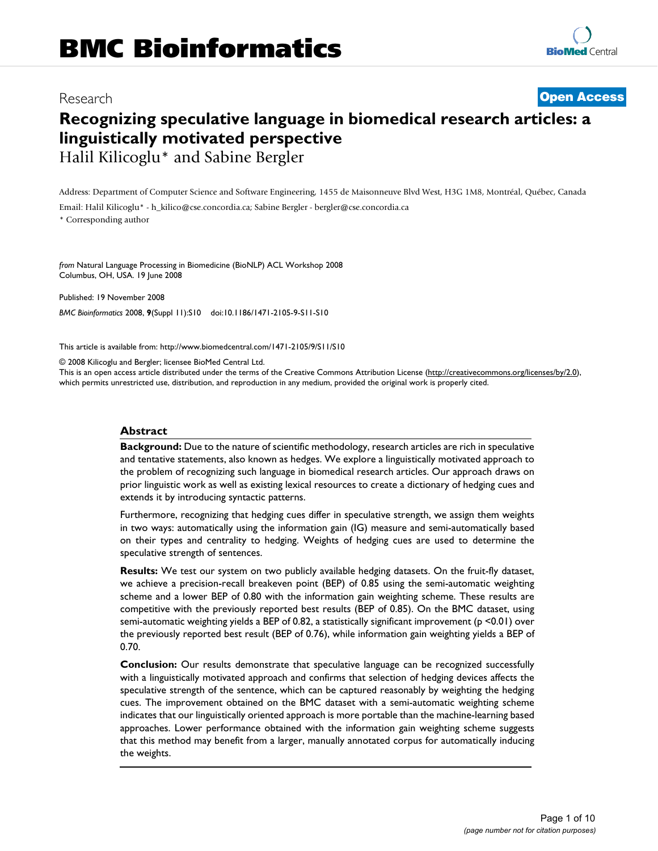# Research **[Open Access](http://www.biomedcentral.com/info/about/charter/)**

# **Recognizing speculative language in biomedical research articles: a linguistically motivated perspective** Halil Kilicoglu\* and Sabine Bergler

Address: Department of Computer Science and Software Engineering, 1455 de Maisonneuve Blvd West, H3G 1M8, Montréal, Québec, Canada

Email: Halil Kilicoglu\* - h\_kilico@cse.concordia.ca; Sabine Bergler - bergler@cse.concordia.ca \* Corresponding author

*from* Natural Language Processing in Biomedicine (BioNLP) ACL Workshop 2008 Columbus, OH, USA. 19 June 2008

Published: 19 November 2008

*BMC Bioinformatics* 2008, **9**(Suppl 11):S10 doi:10.1186/1471-2105-9-S11-S10

[This article is available from: http://www.biomedcentral.com/1471-2105/9/S11/S10](http://www.biomedcentral.com/1471-2105/9/S11/S10)

© 2008 Kilicoglu and Bergler; licensee BioMed Central Ltd.

This is an open access article distributed under the terms of the Creative Commons Attribution License [\(http://creativecommons.org/licenses/by/2.0\)](http://creativecommons.org/licenses/by/2.0), which permits unrestricted use, distribution, and reproduction in any medium, provided the original work is properly cited.

### **Abstract**

**Background:** Due to the nature of scientific methodology, research articles are rich in speculative and tentative statements, also known as hedges. We explore a linguistically motivated approach to the problem of recognizing such language in biomedical research articles. Our approach draws on prior linguistic work as well as existing lexical resources to create a dictionary of hedging cues and extends it by introducing syntactic patterns.

Furthermore, recognizing that hedging cues differ in speculative strength, we assign them weights in two ways: automatically using the information gain (IG) measure and semi-automatically based on their types and centrality to hedging. Weights of hedging cues are used to determine the speculative strength of sentences.

**Results:** We test our system on two publicly available hedging datasets. On the fruit-fly dataset, we achieve a precision-recall breakeven point (BEP) of 0.85 using the semi-automatic weighting scheme and a lower BEP of 0.80 with the information gain weighting scheme. These results are competitive with the previously reported best results (BEP of 0.85). On the BMC dataset, using semi-automatic weighting yields a BEP of 0.82, a statistically significant improvement (p <0.01) over the previously reported best result (BEP of 0.76), while information gain weighting yields a BEP of 0.70.

**Conclusion:** Our results demonstrate that speculative language can be recognized successfully with a linguistically motivated approach and confirms that selection of hedging devices affects the speculative strength of the sentence, which can be captured reasonably by weighting the hedging cues. The improvement obtained on the BMC dataset with a semi-automatic weighting scheme indicates that our linguistically oriented approach is more portable than the machine-learning based approaches. Lower performance obtained with the information gain weighting scheme suggests that this method may benefit from a larger, manually annotated corpus for automatically inducing the weights.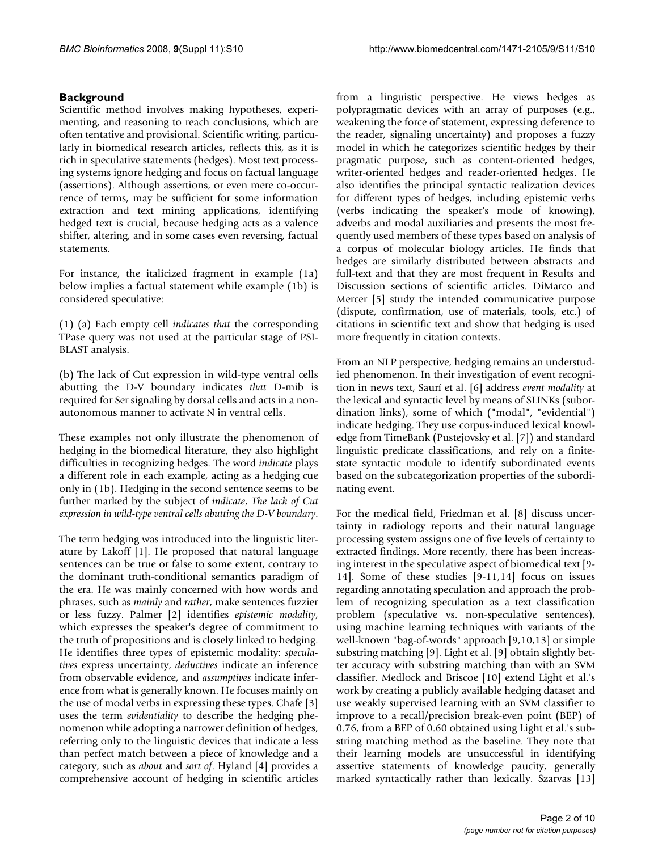# **Background**

Scientific method involves making hypotheses, experimenting, and reasoning to reach conclusions, which are often tentative and provisional. Scientific writing, particularly in biomedical research articles, reflects this, as it is rich in speculative statements (hedges). Most text processing systems ignore hedging and focus on factual language (assertions). Although assertions, or even mere co-occurrence of terms, may be sufficient for some information extraction and text mining applications, identifying hedged text is crucial, because hedging acts as a valence shifter, altering, and in some cases even reversing, factual statements.

For instance, the italicized fragment in example (1a) below implies a factual statement while example (1b) is considered speculative:

(1) (a) Each empty cell *indicates that* the corresponding TPase query was not used at the particular stage of PSI-BLAST analysis.

(b) The lack of Cut expression in wild-type ventral cells abutting the D-V boundary indicates *that* D-mib is required for Ser signaling by dorsal cells and acts in a nonautonomous manner to activate N in ventral cells.

These examples not only illustrate the phenomenon of hedging in the biomedical literature, they also highlight difficulties in recognizing hedges. The word *indicate* plays a different role in each example, acting as a hedging cue only in (1b). Hedging in the second sentence seems to be further marked by the subject of *indicate*, *The lack of Cut expression in wild-type ventral cells abutting the D-V boundary*.

The term hedging was introduced into the linguistic literature by Lakoff [1]. He proposed that natural language sentences can be true or false to some extent, contrary to the dominant truth-conditional semantics paradigm of the era. He was mainly concerned with how words and phrases, such as *mainly* and *rather*, make sentences fuzzier or less fuzzy. Palmer [2] identifies *epistemic modality*, which expresses the speaker's degree of commitment to the truth of propositions and is closely linked to hedging. He identifies three types of epistemic modality: *speculatives* express uncertainty, *deductives* indicate an inference from observable evidence, and *assumptives* indicate inference from what is generally known. He focuses mainly on the use of modal verbs in expressing these types. Chafe [3] uses the term *evidentiality* to describe the hedging phenomenon while adopting a narrower definition of hedges, referring only to the linguistic devices that indicate a less than perfect match between a piece of knowledge and a category, such as *about* and *sort of*. Hyland [4] provides a comprehensive account of hedging in scientific articles from a linguistic perspective. He views hedges as polypragmatic devices with an array of purposes (e.g., weakening the force of statement, expressing deference to the reader, signaling uncertainty) and proposes a fuzzy model in which he categorizes scientific hedges by their pragmatic purpose, such as content-oriented hedges, writer-oriented hedges and reader-oriented hedges. He also identifies the principal syntactic realization devices for different types of hedges, including epistemic verbs (verbs indicating the speaker's mode of knowing), adverbs and modal auxiliaries and presents the most frequently used members of these types based on analysis of a corpus of molecular biology articles. He finds that hedges are similarly distributed between abstracts and full-text and that they are most frequent in Results and Discussion sections of scientific articles. DiMarco and Mercer [5] study the intended communicative purpose (dispute, confirmation, use of materials, tools, etc.) of citations in scientific text and show that hedging is used more frequently in citation contexts.

From an NLP perspective, hedging remains an understudied phenomenon. In their investigation of event recognition in news text, Saurí et al. [6] address *event modality* at the lexical and syntactic level by means of SLINKs (subordination links), some of which ("modal", "evidential") indicate hedging. They use corpus-induced lexical knowledge from TimeBank (Pustejovsky et al. [7]) and standard linguistic predicate classifications, and rely on a finitestate syntactic module to identify subordinated events based on the subcategorization properties of the subordinating event.

For the medical field, Friedman et al. [8] discuss uncertainty in radiology reports and their natural language processing system assigns one of five levels of certainty to extracted findings. More recently, there has been increasing interest in the speculative aspect of biomedical text [9- 14]. Some of these studies [9-11,14] focus on issues regarding annotating speculation and approach the problem of recognizing speculation as a text classification problem (speculative vs. non-speculative sentences), using machine learning techniques with variants of the well-known "bag-of-words" approach [9,10,13] or simple substring matching [9]. Light et al. [9] obtain slightly better accuracy with substring matching than with an SVM classifier. Medlock and Briscoe [10] extend Light et al.'s work by creating a publicly available hedging dataset and use weakly supervised learning with an SVM classifier to improve to a recall/precision break-even point (BEP) of 0.76, from a BEP of 0.60 obtained using Light et al.'s substring matching method as the baseline. They note that their learning models are unsuccessful in identifying assertive statements of knowledge paucity, generally marked syntactically rather than lexically. Szarvas [13]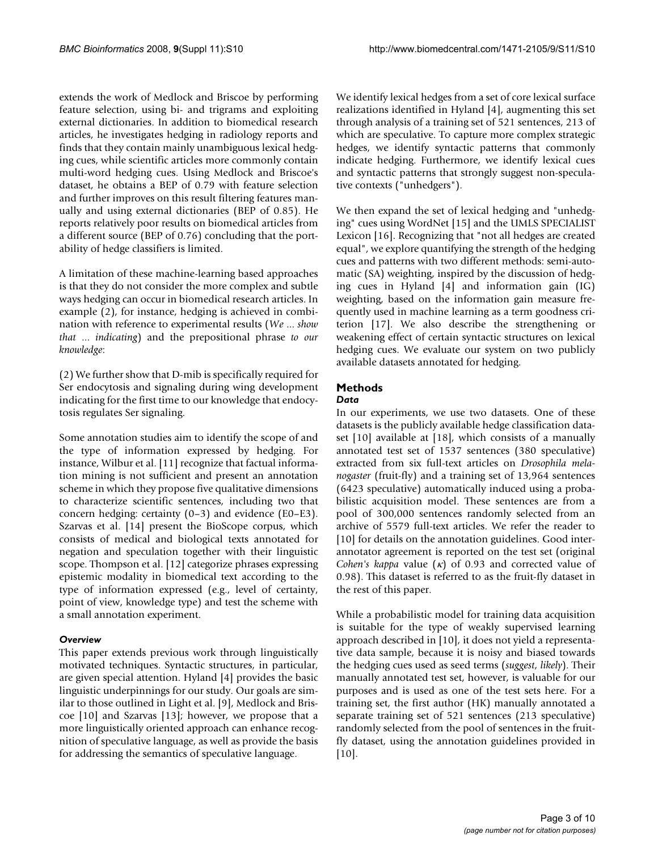extends the work of Medlock and Briscoe by performing feature selection, using bi- and trigrams and exploiting external dictionaries. In addition to biomedical research articles, he investigates hedging in radiology reports and finds that they contain mainly unambiguous lexical hedging cues, while scientific articles more commonly contain multi-word hedging cues. Using Medlock and Briscoe's dataset, he obtains a BEP of 0.79 with feature selection and further improves on this result filtering features manually and using external dictionaries (BEP of 0.85). He reports relatively poor results on biomedical articles from a different source (BEP of 0.76) concluding that the portability of hedge classifiers is limited.

A limitation of these machine-learning based approaches is that they do not consider the more complex and subtle ways hedging can occur in biomedical research articles. In example (2), for instance, hedging is achieved in combination with reference to experimental results (*We* ... *show that* ... *indicating*) and the prepositional phrase *to our knowledge*:

(2) We further show that D-mib is specifically required for Ser endocytosis and signaling during wing development indicating for the first time to our knowledge that endocytosis regulates Ser signaling.

Some annotation studies aim to identify the scope of and the type of information expressed by hedging. For instance, Wilbur et al. [11] recognize that factual information mining is not sufficient and present an annotation scheme in which they propose five qualitative dimensions to characterize scientific sentences, including two that concern hedging: certainty (0–3) and evidence (E0–E3). Szarvas et al. [14] present the BioScope corpus, which consists of medical and biological texts annotated for negation and speculation together with their linguistic scope. Thompson et al. [12] categorize phrases expressing epistemic modality in biomedical text according to the type of information expressed (e.g., level of certainty, point of view, knowledge type) and test the scheme with a small annotation experiment.

### *Overview*

This paper extends previous work through linguistically motivated techniques. Syntactic structures, in particular, are given special attention. Hyland [4] provides the basic linguistic underpinnings for our study. Our goals are similar to those outlined in Light et al. [9], Medlock and Briscoe [10] and Szarvas [13]; however, we propose that a more linguistically oriented approach can enhance recognition of speculative language, as well as provide the basis for addressing the semantics of speculative language.

We identify lexical hedges from a set of core lexical surface realizations identified in Hyland [4], augmenting this set through analysis of a training set of 521 sentences, 213 of which are speculative. To capture more complex strategic hedges, we identify syntactic patterns that commonly indicate hedging. Furthermore, we identify lexical cues and syntactic patterns that strongly suggest non-speculative contexts ("unhedgers").

We then expand the set of lexical hedging and "unhedging" cues using WordNet [15] and the UMLS SPECIALIST Lexicon [16]. Recognizing that "not all hedges are created equal", we explore quantifying the strength of the hedging cues and patterns with two different methods: semi-automatic (SA) weighting, inspired by the discussion of hedging cues in Hyland [4] and information gain (IG) weighting, based on the information gain measure frequently used in machine learning as a term goodness criterion [17]. We also describe the strengthening or weakening effect of certain syntactic structures on lexical hedging cues. We evaluate our system on two publicly available datasets annotated for hedging.

# **Methods**

# *Data*

In our experiments, we use two datasets. One of these datasets is the publicly available hedge classification dataset [10] available at [18], which consists of a manually annotated test set of 1537 sentences (380 speculative) extracted from six full-text articles on *Drosophila melanogaster* (fruit-fly) and a training set of 13,964 sentences (6423 speculative) automatically induced using a probabilistic acquisition model. These sentences are from a pool of 300,000 sentences randomly selected from an archive of 5579 full-text articles. We refer the reader to [10] for details on the annotation guidelines. Good interannotator agreement is reported on the test set (original *Cohen's kappa* value (κ) of 0.93 and corrected value of 0.98). This dataset is referred to as the fruit-fly dataset in the rest of this paper.

While a probabilistic model for training data acquisition is suitable for the type of weakly supervised learning approach described in [10], it does not yield a representative data sample, because it is noisy and biased towards the hedging cues used as seed terms (*suggest*, *likely*). Their manually annotated test set, however, is valuable for our purposes and is used as one of the test sets here. For a training set, the first author (HK) manually annotated a separate training set of 521 sentences (213 speculative) randomly selected from the pool of sentences in the fruitfly dataset, using the annotation guidelines provided in [10].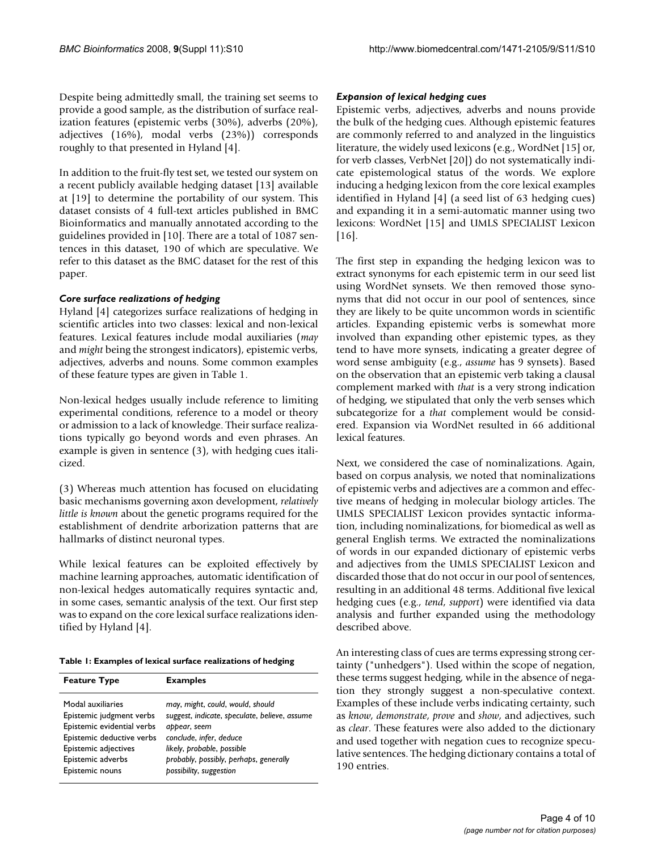Despite being admittedly small, the training set seems to provide a good sample, as the distribution of surface realization features (epistemic verbs (30%), adverbs (20%), adjectives (16%), modal verbs (23%)) corresponds roughly to that presented in Hyland [4].

In addition to the fruit-fly test set, we tested our system on a recent publicly available hedging dataset [13] available at [19] to determine the portability of our system. This dataset consists of 4 full-text articles published in BMC Bioinformatics and manually annotated according to the guidelines provided in [10]. There are a total of 1087 sentences in this dataset, 190 of which are speculative. We refer to this dataset as the BMC dataset for the rest of this paper.

# *Core surface realizations of hedging*

Hyland [4] categorizes surface realizations of hedging in scientific articles into two classes: lexical and non-lexical features. Lexical features include modal auxiliaries (*may* and *might* being the strongest indicators), epistemic verbs, adjectives, adverbs and nouns. Some common examples of these feature types are given in Table 1.

Non-lexical hedges usually include reference to limiting experimental conditions, reference to a model or theory or admission to a lack of knowledge. Their surface realizations typically go beyond words and even phrases. An example is given in sentence (3), with hedging cues italicized.

(3) Whereas much attention has focused on elucidating basic mechanisms governing axon development, *relatively little is known* about the genetic programs required for the establishment of dendrite arborization patterns that are hallmarks of distinct neuronal types.

While lexical features can be exploited effectively by machine learning approaches, automatic identification of non-lexical hedges automatically requires syntactic and, in some cases, semantic analysis of the text. Our first step was to expand on the core lexical surface realizations identified by Hyland [4].

**Table 1: Examples of lexical surface realizations of hedging**

| <b>Feature Type</b>        | <b>Examples</b>                               |
|----------------------------|-----------------------------------------------|
| Modal auxiliaries          | may, might, could, would, should              |
| Epistemic judgment verbs   | suggest, indicate, speculate, believe, assume |
| Epistemic evidential verbs | appear, seem                                  |
| Epistemic deductive verbs  | conclude, infer, deduce                       |
| Epistemic adjectives       | likely, probable, possible                    |
| Epistemic adverbs          | probably, possibly, perhaps, generally        |
| Epistemic nouns            | possibility, suggestion                       |

# *Expansion of lexical hedging cues*

Epistemic verbs, adjectives, adverbs and nouns provide the bulk of the hedging cues. Although epistemic features are commonly referred to and analyzed in the linguistics literature, the widely used lexicons (e.g., WordNet [15] or, for verb classes, VerbNet [20]) do not systematically indicate epistemological status of the words. We explore inducing a hedging lexicon from the core lexical examples identified in Hyland [4] (a seed list of 63 hedging cues) and expanding it in a semi-automatic manner using two lexicons: WordNet [15] and UMLS SPECIALIST Lexicon [16].

The first step in expanding the hedging lexicon was to extract synonyms for each epistemic term in our seed list using WordNet synsets. We then removed those synonyms that did not occur in our pool of sentences, since they are likely to be quite uncommon words in scientific articles. Expanding epistemic verbs is somewhat more involved than expanding other epistemic types, as they tend to have more synsets, indicating a greater degree of word sense ambiguity (e.g., *assume* has 9 synsets). Based on the observation that an epistemic verb taking a clausal complement marked with *that* is a very strong indication of hedging, we stipulated that only the verb senses which subcategorize for a *that* complement would be considered. Expansion via WordNet resulted in 66 additional lexical features.

Next, we considered the case of nominalizations. Again, based on corpus analysis, we noted that nominalizations of epistemic verbs and adjectives are a common and effective means of hedging in molecular biology articles. The UMLS SPECIALIST Lexicon provides syntactic information, including nominalizations, for biomedical as well as general English terms. We extracted the nominalizations of words in our expanded dictionary of epistemic verbs and adjectives from the UMLS SPECIALIST Lexicon and discarded those that do not occur in our pool of sentences, resulting in an additional 48 terms. Additional five lexical hedging cues (e.g., *tend*, *support*) were identified via data analysis and further expanded using the methodology described above.

An interesting class of cues are terms expressing strong certainty ("unhedgers"). Used within the scope of negation, these terms suggest hedging, while in the absence of negation they strongly suggest a non-speculative context. Examples of these include verbs indicating certainty, such as *know*, *demonstrate*, *prove* and *show*, and adjectives, such as *clear*. These features were also added to the dictionary and used together with negation cues to recognize speculative sentences. The hedging dictionary contains a total of 190 entries.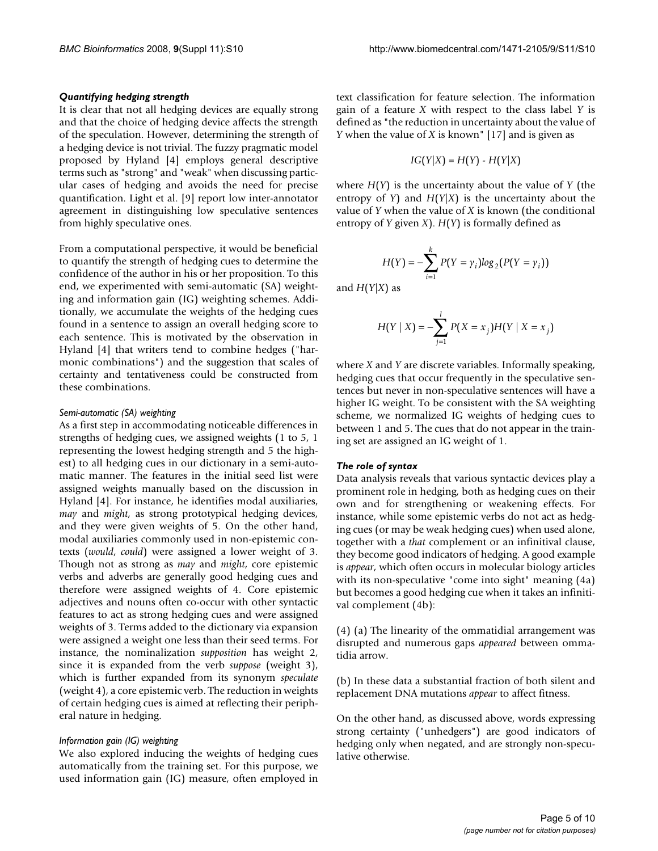#### *Quantifying hedging strength*

It is clear that not all hedging devices are equally strong and that the choice of hedging device affects the strength of the speculation. However, determining the strength of a hedging device is not trivial. The fuzzy pragmatic model proposed by Hyland [4] employs general descriptive terms such as "strong" and "weak" when discussing particular cases of hedging and avoids the need for precise quantification. Light et al. [9] report low inter-annotator agreement in distinguishing low speculative sentences from highly speculative ones.

From a computational perspective, it would be beneficial to quantify the strength of hedging cues to determine the confidence of the author in his or her proposition. To this end, we experimented with semi-automatic (SA) weighting and information gain (IG) weighting schemes. Additionally, we accumulate the weights of the hedging cues found in a sentence to assign an overall hedging score to each sentence. This is motivated by the observation in Hyland [4] that writers tend to combine hedges ("harmonic combinations") and the suggestion that scales of certainty and tentativeness could be constructed from these combinations.

#### *Semi-automatic (SA) weighting*

As a first step in accommodating noticeable differences in strengths of hedging cues, we assigned weights (1 to 5, 1 representing the lowest hedging strength and 5 the highest) to all hedging cues in our dictionary in a semi-automatic manner. The features in the initial seed list were assigned weights manually based on the discussion in Hyland [4]. For instance, he identifies modal auxiliaries, *may* and *might*, as strong prototypical hedging devices, and they were given weights of 5. On the other hand, modal auxiliaries commonly used in non-epistemic contexts (*would*, *could*) were assigned a lower weight of 3. Though not as strong as *may* and *might*, core epistemic verbs and adverbs are generally good hedging cues and therefore were assigned weights of 4. Core epistemic adjectives and nouns often co-occur with other syntactic features to act as strong hedging cues and were assigned weights of 3. Terms added to the dictionary via expansion were assigned a weight one less than their seed terms. For instance, the nominalization *supposition* has weight 2, since it is expanded from the verb *suppose* (weight 3), which is further expanded from its synonym *speculate* (weight 4), a core epistemic verb. The reduction in weights of certain hedging cues is aimed at reflecting their peripheral nature in hedging.

#### *Information gain (IG) weighting*

We also explored inducing the weights of hedging cues automatically from the training set. For this purpose, we used information gain (IG) measure, often employed in text classification for feature selection. The information gain of a feature *X* with respect to the class label *Y* is defined as "the reduction in uncertainty about the value of *Y* when the value of *X* is known" [17] and is given as

$$
IG(Y|X) = H(Y) - H(Y|X)
$$

where *H*(*Y*) is the uncertainty about the value of *Y* (the entropy of *Y*) and *H*(*Y*|*X*) is the uncertainty about the value of *Y* when the value of *X* is known (the conditional entropy of *Y* given *X*). *H*(*Y*) is formally defined as

$$
H(Y) = -\sum_{i=1}^{k} P(Y = \gamma_i) \log_2(P(Y = \gamma_i))
$$

and  $H(Y|X)$  as

$$
H(Y | X) = -\sum_{j=1}^{l} P(X = x_j) H(Y | X = x_j)
$$

where *X* and *Y* are discrete variables. Informally speaking, hedging cues that occur frequently in the speculative sentences but never in non-speculative sentences will have a higher IG weight. To be consistent with the SA weighting scheme, we normalized IG weights of hedging cues to between 1 and 5. The cues that do not appear in the training set are assigned an IG weight of 1.

#### *The role of syntax*

Data analysis reveals that various syntactic devices play a prominent role in hedging, both as hedging cues on their own and for strengthening or weakening effects. For instance, while some epistemic verbs do not act as hedging cues (or may be weak hedging cues) when used alone, together with a *that* complement or an infinitival clause, they become good indicators of hedging. A good example is *appear*, which often occurs in molecular biology articles with its non-speculative "come into sight" meaning (4a) but becomes a good hedging cue when it takes an infinitival complement (4b):

(4) (a) The linearity of the ommatidial arrangement was disrupted and numerous gaps *appeared* between ommatidia arrow.

(b) In these data a substantial fraction of both silent and replacement DNA mutations *appear* to affect fitness.

On the other hand, as discussed above, words expressing strong certainty ("unhedgers") are good indicators of hedging only when negated, and are strongly non-speculative otherwise.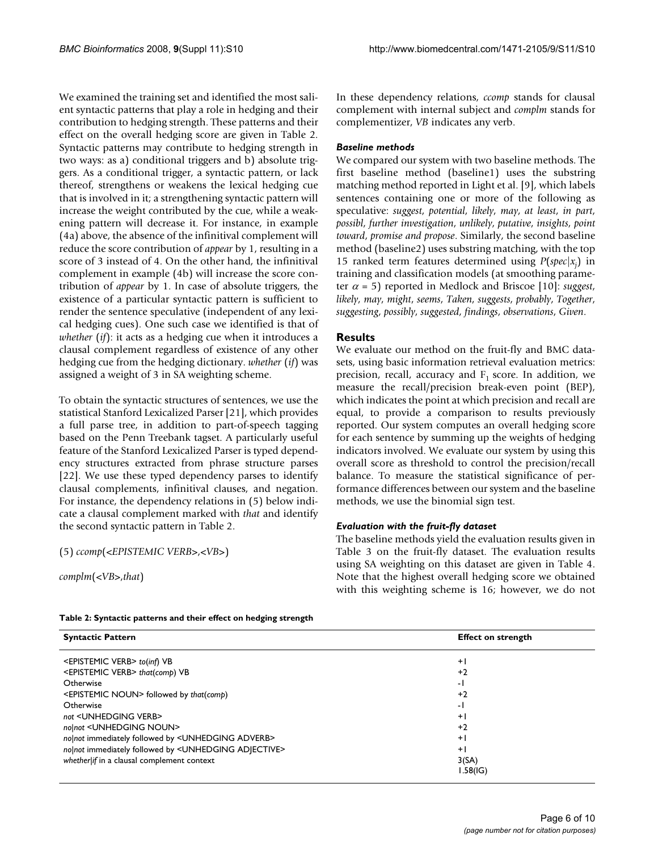We examined the training set and identified the most salient syntactic patterns that play a role in hedging and their contribution to hedging strength. These patterns and their effect on the overall hedging score are given in Table 2. Syntactic patterns may contribute to hedging strength in two ways: as a) conditional triggers and b) absolute triggers. As a conditional trigger, a syntactic pattern, or lack thereof, strengthens or weakens the lexical hedging cue that is involved in it; a strengthening syntactic pattern will increase the weight contributed by the cue, while a weakening pattern will decrease it. For instance, in example (4a) above, the absence of the infinitival complement will reduce the score contribution of *appear* by 1, resulting in a score of 3 instead of 4. On the other hand, the infinitival complement in example (4b) will increase the score contribution of *appear* by 1. In case of absolute triggers, the existence of a particular syntactic pattern is sufficient to render the sentence speculative (independent of any lexical hedging cues). One such case we identified is that of *whether* (*if*): it acts as a hedging cue when it introduces a clausal complement regardless of existence of any other hedging cue from the hedging dictionary. *whether* (*if*) was assigned a weight of 3 in SA weighting scheme.

To obtain the syntactic structures of sentences, we use the statistical Stanford Lexicalized Parser [21], which provides a full parse tree, in addition to part-of-speech tagging based on the Penn Treebank tagset. A particularly useful feature of the Stanford Lexicalized Parser is typed dependency structures extracted from phrase structure parses [22]. We use these typed dependency parses to identify clausal complements, infinitival clauses, and negation. For instance, the dependency relations in (5) below indicate a clausal complement marked with *that* and identify the second syntactic pattern in Table 2.

(5) *ccomp*(<*EPISTEMIC VERB*>,<*VB*>)

*complm*(<*VB*>,*that*)

In these dependency relations, *ccomp* stands for clausal complement with internal subject and *complm* stands for complementizer, *VB* indicates any verb.

## *Baseline methods*

We compared our system with two baseline methods. The first baseline method (baseline1) uses the substring matching method reported in Light et al. [9], which labels sentences containing one or more of the following as speculative: *suggest*, *potential*, *likely*, *may*, *at least*, *in part*, *possibl*, *further investigation*, *unlikely*, *putative*, *insights*, *point toward*, *promise and propose*. Similarly, the second baseline method (baseline2) uses substring matching, with the top 15 ranked term features determined using *P*(*spec*|*xj* ) in training and classification models (at smoothing parameter <sup>α</sup> = 5) reported in Medlock and Briscoe [10]: *suggest*, *likely*, *may*, *might*, *seems*, *Taken*, *suggests*, *probably*, *Together*, *suggesting*, *possibly*, *suggested*, *findings*, *observations*, *Given*.

# **Results**

We evaluate our method on the fruit-fly and BMC datasets, using basic information retrieval evaluation metrics: precision, recall, accuracy and  $F_1$  score. In addition, we measure the recall/precision break-even point (BEP), which indicates the point at which precision and recall are equal, to provide a comparison to results previously reported. Our system computes an overall hedging score for each sentence by summing up the weights of hedging indicators involved. We evaluate our system by using this overall score as threshold to control the precision/recall balance. To measure the statistical significance of performance differences between our system and the baseline methods, we use the binomial sign test.

# *Evaluation with the fruit-fly dataset*

The baseline methods yield the evaluation results given in Table 3 on the fruit-fly dataset. The evaluation results using SA weighting on this dataset are given in Table 4. Note that the highest overall hedging score we obtained with this weighting scheme is 16; however, we do not

| <b>Syntactic Pattern</b>                                            | <b>Effect on strength</b> |
|---------------------------------------------------------------------|---------------------------|
| <epistemic verb=""> to(inf) VB</epistemic>                          | $+1$                      |
| <epistemic verb=""> that(comp) VB</epistemic>                       | $+2$                      |
| Otherwise                                                           | - 1                       |
| <epistemic noun=""> followed by that(comp)</epistemic>              | $+2$                      |
| Otherwise                                                           | - 1                       |
| not <unhedging verb=""></unhedging>                                 | $+$                       |
| no not <unhedging noun=""></unhedging>                              | $+2$                      |
| no not immediately followed by <unhedging adverb=""></unhedging>    | $+1$                      |
| no not immediately followed by <unhedging ad ective=""></unhedging> | $+1$                      |
| whether if in a clausal complement context                          | 3(SA)<br>1.58(IG)         |

**Table 2: Syntactic patterns and their effect on hedging strength**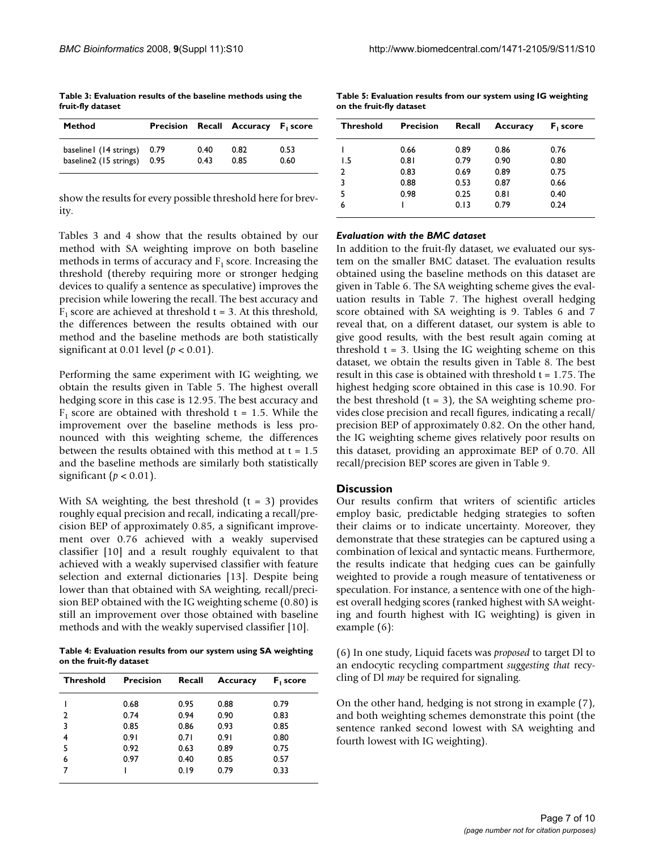| Table 3: Evaluation results of the baseline methods using the |  |  |
|---------------------------------------------------------------|--|--|
| fruit-fly dataset                                             |  |  |

| Method                       | <b>Precision</b> |      | Recall Accuracy F <sub>1</sub> score |      |
|------------------------------|------------------|------|--------------------------------------|------|
| baseline I (14 strings) 0.79 | 0.95             | 0.40 | 0.82                                 | 0.53 |
| baseline2 (15 strings)       |                  | 0.43 | 0.85                                 | 0.60 |

show the results for every possible threshold here for brevity.

Tables 3 and 4 show that the results obtained by our method with SA weighting improve on both baseline methods in terms of accuracy and  $F_1$  score. Increasing the threshold (thereby requiring more or stronger hedging devices to qualify a sentence as speculative) improves the precision while lowering the recall. The best accuracy and  $F_1$  score are achieved at threshold  $t = 3$ . At this threshold, the differences between the results obtained with our method and the baseline methods are both statistically significant at 0.01 level  $(p < 0.01)$ .

Performing the same experiment with IG weighting, we obtain the results given in Table 5. The highest overall hedging score in this case is 12.95. The best accuracy and  $F_1$  score are obtained with threshold t = 1.5. While the improvement over the baseline methods is less pronounced with this weighting scheme, the differences between the results obtained with this method at  $t = 1.5$ and the baseline methods are similarly both statistically significant  $(p < 0.01)$ .

With SA weighting, the best threshold  $(t = 3)$  provides roughly equal precision and recall, indicating a recall/precision BEP of approximately 0.85, a significant improvement over 0.76 achieved with a weakly supervised classifier [10] and a result roughly equivalent to that achieved with a weakly supervised classifier with feature selection and external dictionaries [13]. Despite being lower than that obtained with SA weighting, recall/precision BEP obtained with the IG weighting scheme (0.80) is still an improvement over those obtained with baseline methods and with the weakly supervised classifier [10].

**Table 4: Evaluation results from our system using SA weighting on the fruit-fly dataset**

| <b>Threshold</b> | <b>Precision</b> | Recall | Accuracy | F, score |  |
|------------------|------------------|--------|----------|----------|--|
|                  | 0.68             | 0.95   | 0.88     | 0.79     |  |
| $\mathcal{P}$    | 0.74             | 0.94   | 0.90     | 0.83     |  |
| 3                | 0.85             | 0.86   | 0.93     | 0.85     |  |
| 4                | 0.91             | 0.71   | 0.91     | 0.80     |  |
| 5                | 0.92             | 0.63   | 0.89     | 0.75     |  |
| 6                | 0.97             | 0.40   | 0.85     | 0.57     |  |
|                  |                  | 0.19   | 0.79     | 0.33     |  |
|                  |                  |        |          |          |  |

**Table 5: Evaluation results from our system using IG weighting on the fruit-fly dataset**

| <b>Threshold</b> | <b>Precision</b> | Recall | Accuracy | F <sub>1</sub> score |
|------------------|------------------|--------|----------|----------------------|
|                  | 0.66             | 0.89   | 0.86     | 0.76                 |
| 1.5              | 0.81             | 0.79   | 0.90     | 0.80                 |
| 2                | 0.83             | 0.69   | 0.89     | 0.75                 |
| 3                | 0.88             | 0.53   | 0.87     | 0.66                 |
| 5                | 0.98             | 0.25   | 0.81     | 0.40                 |
| 6                |                  | 0.13   | 0.79     | 0.24                 |

*Evaluation with the BMC dataset*

In addition to the fruit-fly dataset, we evaluated our system on the smaller BMC dataset. The evaluation results obtained using the baseline methods on this dataset are given in Table 6. The SA weighting scheme gives the evaluation results in Table 7. The highest overall hedging score obtained with SA weighting is 9. Tables 6 and 7 reveal that, on a different dataset, our system is able to give good results, with the best result again coming at threshold  $t = 3$ . Using the IG weighting scheme on this dataset, we obtain the results given in Table 8. The best result in this case is obtained with threshold  $t = 1.75$ . The highest hedging score obtained in this case is 10.90. For the best threshold  $(t = 3)$ , the SA weighting scheme provides close precision and recall figures, indicating a recall/ precision BEP of approximately 0.82. On the other hand, the IG weighting scheme gives relatively poor results on this dataset, providing an approximate BEP of 0.70. All recall/precision BEP scores are given in Table 9.

#### **Discussion**

Our results confirm that writers of scientific articles employ basic, predictable hedging strategies to soften their claims or to indicate uncertainty. Moreover, they demonstrate that these strategies can be captured using a combination of lexical and syntactic means. Furthermore, the results indicate that hedging cues can be gainfully weighted to provide a rough measure of tentativeness or speculation. For instance, a sentence with one of the highest overall hedging scores (ranked highest with SA weighting and fourth highest with IG weighting) is given in example (6):

(6) In one study, Liquid facets was *proposed* to target Dl to an endocytic recycling compartment *suggesting that* recycling of Dl *may* be required for signaling.

On the other hand, hedging is not strong in example (7), and both weighting schemes demonstrate this point (the sentence ranked second lowest with SA weighting and fourth lowest with IG weighting).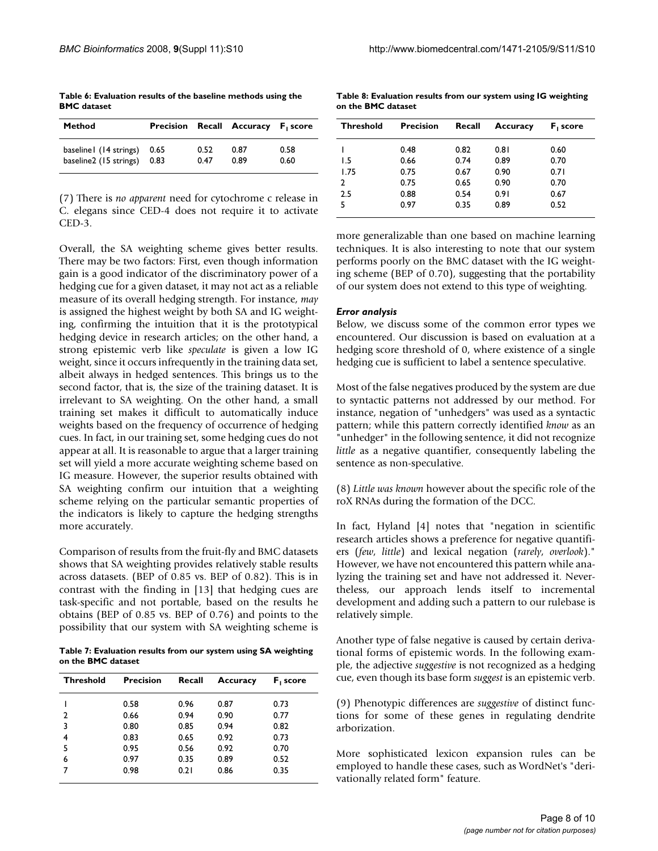| Table 6: Evaluation results of the baseline methods using the |  |  |
|---------------------------------------------------------------|--|--|
| <b>BMC</b> dataset                                            |  |  |

| Method                 | Precision |      | Recall Accuracy F <sub>1</sub> score |      |
|------------------------|-----------|------|--------------------------------------|------|
| baseline (14 strings)  | 0.65      | 0.52 | 0.87                                 | 0.58 |
| baseline2 (15 strings) | 0.83      | 0.47 | 0.89                                 | 0.60 |

(7) There is *no apparent* need for cytochrome c release in C. elegans since CED-4 does not require it to activate CED-3.

Overall, the SA weighting scheme gives better results. There may be two factors: First, even though information gain is a good indicator of the discriminatory power of a hedging cue for a given dataset, it may not act as a reliable measure of its overall hedging strength. For instance, *may* is assigned the highest weight by both SA and IG weighting, confirming the intuition that it is the prototypical hedging device in research articles; on the other hand, a strong epistemic verb like *speculate* is given a low IG weight, since it occurs infrequently in the training data set, albeit always in hedged sentences. This brings us to the second factor, that is, the size of the training dataset. It is irrelevant to SA weighting. On the other hand, a small training set makes it difficult to automatically induce weights based on the frequency of occurrence of hedging cues. In fact, in our training set, some hedging cues do not appear at all. It is reasonable to argue that a larger training set will yield a more accurate weighting scheme based on IG measure. However, the superior results obtained with SA weighting confirm our intuition that a weighting scheme relying on the particular semantic properties of the indicators is likely to capture the hedging strengths more accurately.

Comparison of results from the fruit-fly and BMC datasets shows that SA weighting provides relatively stable results across datasets. (BEP of 0.85 vs. BEP of 0.82). This is in contrast with the finding in [13] that hedging cues are task-specific and not portable, based on the results he obtains (BEP of 0.85 vs. BEP of 0.76) and points to the possibility that our system with SA weighting scheme is

**Table 7: Evaluation results from our system using SA weighting on the BMC dataset**

| <b>Threshold</b> | <b>Precision</b> | Recall | Accuracy | F, score |
|------------------|------------------|--------|----------|----------|
|                  | 0.58             | 0.96   | 0.87     | 0.73     |
| $\mathcal{P}$    | 0.66             | 0.94   | 0.90     | 0.77     |
| 3                | 0.80             | 0.85   | 0.94     | 0.82     |
| 4                | 0.83             | 0.65   | 0.92     | 0.73     |
| 5                | 0.95             | 0.56   | 0.92     | 0.70     |
| 6                | 0.97             | 0.35   | 0.89     | 0.52     |
|                  | 0.98             | 0.21   | 0.86     | 0.35     |
|                  |                  |        |          |          |

**Table 8: Evaluation results from our system using IG weighting on the BMC dataset**

| <b>Threshold</b> | <b>Precision</b> | Recall | Accuracy | F <sub>1</sub> score |
|------------------|------------------|--------|----------|----------------------|
|                  | 0.48             | 0.82   | 0.81     | 0.60                 |
| 1.5              | 0.66             | 0.74   | 0.89     | 0.70                 |
| 1.75             | 0.75             | 0.67   | 0.90     | 0.71                 |
| 2                | 0.75             | 0.65   | 0.90     | 0.70                 |
| 2.5              | 0.88             | 0.54   | 0.91     | 0.67                 |
| 5                | 0.97             | 0.35   | 0.89     | 0.52                 |

more generalizable than one based on machine learning techniques. It is also interesting to note that our system performs poorly on the BMC dataset with the IG weighting scheme (BEP of 0.70), suggesting that the portability of our system does not extend to this type of weighting.

#### *Error analysis*

Below, we discuss some of the common error types we encountered. Our discussion is based on evaluation at a hedging score threshold of 0, where existence of a single hedging cue is sufficient to label a sentence speculative.

Most of the false negatives produced by the system are due to syntactic patterns not addressed by our method. For instance, negation of "unhedgers" was used as a syntactic pattern; while this pattern correctly identified *know* as an "unhedger" in the following sentence, it did not recognize *little* as a negative quantifier, consequently labeling the sentence as non-speculative.

(8) *Little was known* however about the specific role of the roX RNAs during the formation of the DCC.

In fact, Hyland [4] notes that "negation in scientific research articles shows a preference for negative quantifiers (*few*, *little*) and lexical negation (*rarely*, *overlook*)." However, we have not encountered this pattern while analyzing the training set and have not addressed it. Nevertheless, our approach lends itself to incremental development and adding such a pattern to our rulebase is relatively simple.

Another type of false negative is caused by certain derivational forms of epistemic words. In the following example, the adjective *suggestive* is not recognized as a hedging cue, even though its base form *suggest* is an epistemic verb.

(9) Phenotypic differences are *suggestive* of distinct functions for some of these genes in regulating dendrite arborization.

More sophisticated lexicon expansion rules can be employed to handle these cases, such as WordNet's "derivationally related form" feature.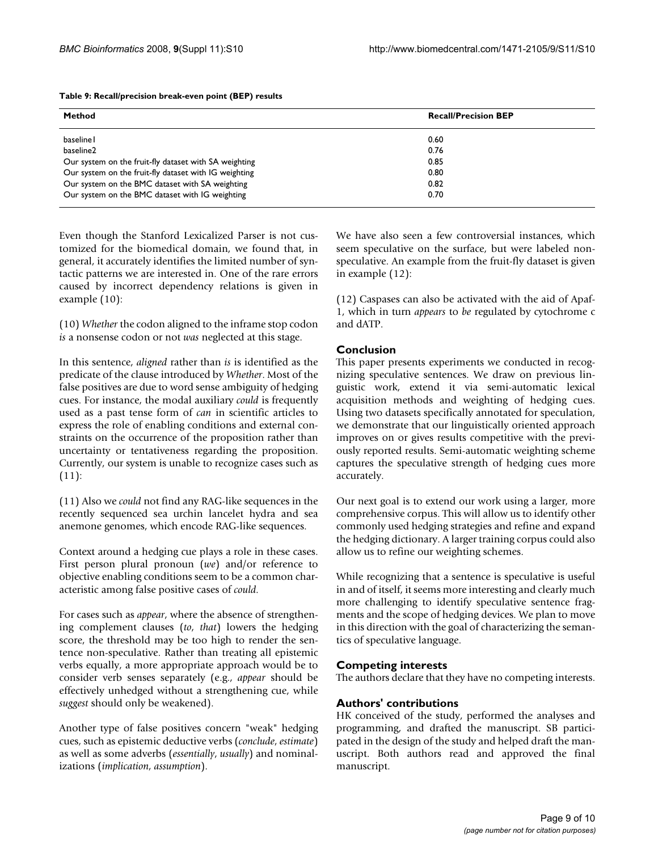| Method                                                | <b>Recall/Precision BEP</b> |
|-------------------------------------------------------|-----------------------------|
| baseline l                                            | 0.60                        |
| baseline2                                             | 0.76                        |
| Our system on the fruit-fly dataset with SA weighting | 0.85                        |
| Our system on the fruit-fly dataset with IG weighting | 0.80                        |
| Our system on the BMC dataset with SA weighting       | 0.82                        |
| Our system on the BMC dataset with IG weighting       | 0.70                        |

| Table 9: Recall/precision break-even point (BEP) results |  |  |  |  |
|----------------------------------------------------------|--|--|--|--|
|----------------------------------------------------------|--|--|--|--|

Even though the Stanford Lexicalized Parser is not customized for the biomedical domain, we found that, in general, it accurately identifies the limited number of syntactic patterns we are interested in. One of the rare errors caused by incorrect dependency relations is given in example (10):

(10) *Whether* the codon aligned to the inframe stop codon *is* a nonsense codon or not *was* neglected at this stage.

In this sentence, *aligned* rather than *is* is identified as the predicate of the clause introduced by *Whether*. Most of the false positives are due to word sense ambiguity of hedging cues. For instance, the modal auxiliary *could* is frequently used as a past tense form of *can* in scientific articles to express the role of enabling conditions and external constraints on the occurrence of the proposition rather than uncertainty or tentativeness regarding the proposition. Currently, our system is unable to recognize cases such as (11):

(11) Also we *could* not find any RAG-like sequences in the recently sequenced sea urchin lancelet hydra and sea anemone genomes, which encode RAG-like sequences.

Context around a hedging cue plays a role in these cases. First person plural pronoun (*we*) and/or reference to objective enabling conditions seem to be a common characteristic among false positive cases of *could*.

For cases such as *appear*, where the absence of strengthening complement clauses (*to*, *that*) lowers the hedging score, the threshold may be too high to render the sentence non-speculative. Rather than treating all epistemic verbs equally, a more appropriate approach would be to consider verb senses separately (e.g., *appear* should be effectively unhedged without a strengthening cue, while *suggest* should only be weakened).

Another type of false positives concern "weak" hedging cues, such as epistemic deductive verbs (*conclude*, *estimate*) as well as some adverbs (*essentially*, *usually*) and nominalizations (*implication*, *assumption*).

We have also seen a few controversial instances, which seem speculative on the surface, but were labeled nonspeculative. An example from the fruit-fly dataset is given in example (12):

(12) Caspases can also be activated with the aid of Apaf-1, which in turn *appears* to *be* regulated by cytochrome c and dATP.

# **Conclusion**

This paper presents experiments we conducted in recognizing speculative sentences. We draw on previous linguistic work, extend it via semi-automatic lexical acquisition methods and weighting of hedging cues. Using two datasets specifically annotated for speculation, we demonstrate that our linguistically oriented approach improves on or gives results competitive with the previously reported results. Semi-automatic weighting scheme captures the speculative strength of hedging cues more accurately.

Our next goal is to extend our work using a larger, more comprehensive corpus. This will allow us to identify other commonly used hedging strategies and refine and expand the hedging dictionary. A larger training corpus could also allow us to refine our weighting schemes.

While recognizing that a sentence is speculative is useful in and of itself, it seems more interesting and clearly much more challenging to identify speculative sentence fragments and the scope of hedging devices. We plan to move in this direction with the goal of characterizing the semantics of speculative language.

# **Competing interests**

The authors declare that they have no competing interests.

# **Authors' contributions**

HK conceived of the study, performed the analyses and programming, and drafted the manuscript. SB participated in the design of the study and helped draft the manuscript. Both authors read and approved the final manuscript.